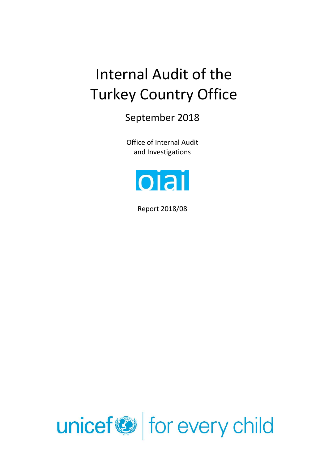# Internal Audit of the Turkey Country Office

September 2018

Office of Internal Audit and Investigations



Report 2018/08

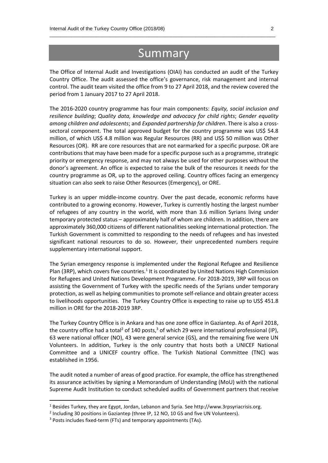## Summary

 $\_$  , and the set of the set of the set of the set of the set of the set of the set of the set of the set of the set of the set of the set of the set of the set of the set of the set of the set of the set of the set of th

The Office of Internal Audit and Investigations (OIAI) has conducted an audit of the Turkey Country Office. The audit assessed the office's governance, risk management and internal control. The audit team visited the office from 9 to 27 April 2018, and the review covered the period from 1 January 2017 to 27 April 2018.

The 2016-2020 country programme has four main components: *Equity, social inclusion and resilience building*; *Quality data, knowledge and advocacy for child rights*; *Gender equality among children and adolescents*; and *Expanded partnership for children*. There is also a crosssectoral component. The total approved budget for the country programme was US\$ 54.8 million, of which US\$ 4.8 million was Regular Resources (RR) and US\$ 50 million was Other Resources (OR). RR are core resources that are not earmarked for a specific purpose. OR are contributions that may have been made for a specific purpose such as a programme, strategic priority or emergency response, and may not always be used for other purposes without the donor's agreement. An office is expected to raise the bulk of the resources it needs for the country programme as OR, up to the approved ceiling. Country offices facing an emergency situation can also seek to raise Other Resources (Emergency), or ORE.

Turkey is an upper middle-income country. Over the past decade, economic reforms have contributed to a growing economy. However, Turkey is currently hosting the largest number of refugees of any country in the world, with more than 3.6 million Syrians living under temporary protected status – approximately half of whom are children. In addition, there are approximately 360,000 citizens of different nationalities seeking international protection. The Turkish Government is committed to responding to the needs of refugees and has invested significant national resources to do so. However, their unprecedented numbers require supplementary international support.

The Syrian emergency response is implemented under the Regional Refugee and Resilience Plan (3RP), which covers five countries.<sup>1</sup> It is coordinated by United Nations High Commission for Refugees and United Nations Development Programme. For 2018-2019, 3RP will focus on assisting the Government of Turkey with the specific needs of the Syrians under temporary protection, as well as helping communities to promote self-reliance and obtain greater access to livelihoods opportunities. The Turkey Country Office is expecting to raise up to US\$ 451.8 million in ORE for the 2018-2019 3RP.

The Turkey Country Office is in Ankara and has one zone office in Gaziantep. As of April 2018, the country office had a total<sup>2</sup> of 140 posts,<sup>3</sup> of which 29 were international professional (IP), 63 were national officer (NO), 43 were general service (GS), and the remaining five were UN Volunteers. In addition, Turkey is the only country that hosts both a UNICEF National Committee and a UNICEF country office. The Turkish National Committee (TNC) was established in 1956.

The audit noted a number of areas of good practice. For example, the office has strengthened its assurance activities by signing a Memorandum of Understanding (MoU) with the national Supreme Audit Institution to conduct scheduled audits of Government partners that receive

**.** 

<sup>1</sup> Besides Turkey, they are Egypt, Jordan, Lebanon and Syria. See http://www.3rpsyriacrisis.org.

<sup>&</sup>lt;sup>2</sup> Including 30 positions in Gaziantep (three IP, 12 NO, 10 GS and five UN Volunteers).

<sup>&</sup>lt;sup>3</sup> Posts includes fixed-term (FTs) and temporary appointments (TAs).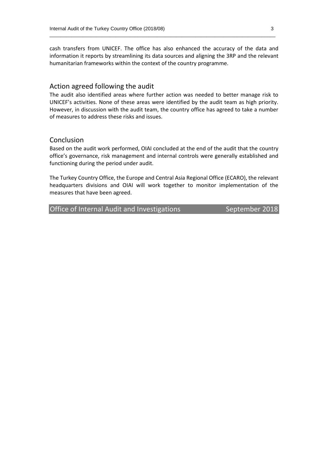cash transfers from UNICEF. The office has also enhanced the accuracy of the data and information it reports by streamlining its data sources and aligning the 3RP and the relevant humanitarian frameworks within the context of the country programme.

 $\_$  , and the set of the set of the set of the set of the set of the set of the set of the set of the set of the set of the set of the set of the set of the set of the set of the set of the set of the set of the set of th

#### Action agreed following the audit

The audit also identified areas where further action was needed to better manage risk to UNICEF's activities. None of these areas were identified by the audit team as high priority. However, in discussion with the audit team, the country office has agreed to take a number of measures to address these risks and issues.

#### Conclusion

Based on the audit work performed, OIAI concluded at the end of the audit that the country office's governance, risk management and internal controls were generally established and functioning during the period under audit.

The Turkey Country Office, the Europe and Central Asia Regional Office (ECARO), the relevant headquarters divisions and OIAI will work together to monitor implementation of the measures that have been agreed.

Office of Internal Audit and Investigations September 2018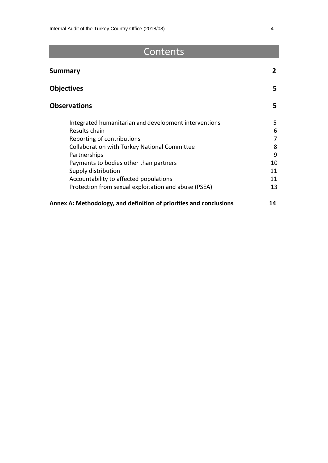# Contents

 $\_$  , and the set of the set of the set of the set of the set of the set of the set of the set of the set of the set of the set of the set of the set of the set of the set of the set of the set of the set of the set of th

| <b>Summary</b>                                                     | $\mathbf{2}$ |
|--------------------------------------------------------------------|--------------|
| <b>Objectives</b>                                                  | 5            |
| <b>Observations</b>                                                | 5            |
| Integrated humanitarian and development interventions              | 5            |
| Results chain                                                      | 6            |
| Reporting of contributions                                         | 7            |
| <b>Collaboration with Turkey National Committee</b>                | 8            |
| Partnerships                                                       | 9            |
| Payments to bodies other than partners                             | 10           |
| Supply distribution                                                | 11           |
| Accountability to affected populations                             | 11           |
| Protection from sexual exploitation and abuse (PSEA)               | 13           |
| Annex A: Methodology, and definition of priorities and conclusions | 14           |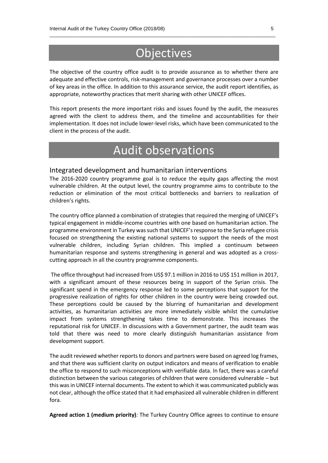# **Objectives**

 $\_$  , and the set of the set of the set of the set of the set of the set of the set of the set of the set of the set of the set of the set of the set of the set of the set of the set of the set of the set of the set of th

The objective of the country office audit is to provide assurance as to whether there are adequate and effective controls, risk-management and governance processes over a number of key areas in the office. In addition to this assurance service, the audit report identifies, as appropriate, noteworthy practices that merit sharing with other UNICEF offices.

This report presents the more important risks and issues found by the audit, the measures agreed with the client to address them, and the timeline and accountabilities for their implementation. It does not include lower-level risks, which have been communicated to the client in the process of the audit.

# Audit observations

#### Integrated development and humanitarian interventions

The 2016-2020 country programme goal is to reduce the equity gaps affecting the most vulnerable children. At the output level, the country programme aims to contribute to the reduction or elimination of the most critical bottlenecks and barriers to realization of children's rights.

The country office planned a combination of strategies that required the merging of UNICEF's typical engagement in middle-income countries with one based on humanitarian action. The programme environment in Turkey was such that UNICEF's response to the Syria refugee crisis focused on strengthening the existing national systems to support the needs of the most vulnerable children, including Syrian children. This implied a continuum between humanitarian response and systems strengthening in general and was adopted as a crosscutting approach in all the country programme components.

The office throughput had increased from US\$ 97.1 million in 2016 to US\$ 151 million in 2017, with a significant amount of these resources being in support of the Syrian crisis. The significant spend in the emergency response led to some perceptions that support for the progressive realization of rights for other children in the country were being crowded out. These perceptions could be caused by the blurring of humanitarian and development activities, as humanitarian activities are more immediately visible whilst the cumulative impact from systems strengthening takes time to demonstrate. This increases the reputational risk for UNICEF. In discussions with a Government partner, the audit team was told that there was need to more clearly distinguish humanitarian assistance from development support.

The audit reviewed whether reports to donors and partners were based on agreed log frames, and that there was sufficient clarity on output indicators and means of verification to enable the office to respond to such misconceptions with verifiable data. In fact, there was a careful distinction between the various categories of children that were considered vulnerable – but this was in UNICEF internal documents. The extent to which it was communicated publicly was not clear, although the office stated that it had emphasized all vulnerable children in different fora.

**Agreed action 1 (medium priority)***:* The Turkey Country Office agrees to continue to ensure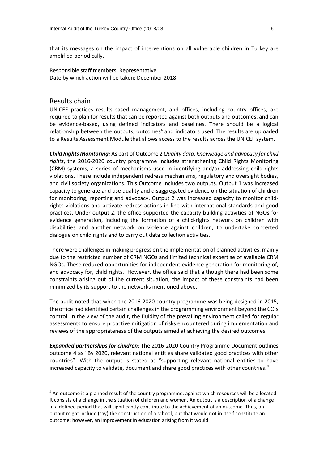that its messages on the impact of interventions on all vulnerable children in Turkey are amplified periodically.

 $\_$  , and the set of the set of the set of the set of the set of the set of the set of the set of the set of the set of the set of the set of the set of the set of the set of the set of the set of the set of the set of th

Responsible staff members: Representative Date by which action will be taken: December 2018

#### Results chain

**.** 

UNICEF practices results-based management, and offices, including country offices, are required to plan for results that can be reported against both outputs and outcomes, and can be evidence-based, using defined indicators and baselines. There should be a logical relationship between the outputs, outcomes $4$  and indicators used. The results are uploaded to a Results Assessment Module that allows access to the results across the UNICEF system.

*Child Rights Monitoring:* As part of Outcome 2 *Quality data, knowledge and advocacy for child rights*, the 2016-2020 country programme includes strengthening Child Rights Monitoring (CRM) systems, a series of mechanisms used in identifying and/or addressing child-rights violations. These include independent redress mechanisms, regulatory and oversight bodies, and civil society organizations. This Outcome includes two outputs. Output 1 was increased capacity to generate and use quality and disaggregated evidence on the situation of children for monitoring, reporting and advocacy. Output 2 was increased capacity to monitor childrights violations and activate redress actions in line with international standards and good practices. Under output 2, the office supported the capacity building activities of NGOs for evidence generation, including the formation of a child-rights network on children with disabilities and another network on violence against children, to undertake concerted dialogue on child rights and to carry out data collection activities.

There were challenges in making progress on the implementation of planned activities, mainly due to the restricted number of CRM NGOs and limited technical expertise of available CRM NGOs. These reduced opportunities for independent evidence generation for monitoring of, and advocacy for, child rights. However, the office said that although there had been some constraints arising out of the current situation, the impact of these constraints had been minimized by its support to the networks mentioned above.

The audit noted that when the 2016-2020 country programme was being designed in 2015, the office had identified certain challenges in the programming environment beyond the CO's control. In the view of the audit, the fluidity of the prevailing environment called for regular assessments to ensure proactive mitigation of risks encountered during implementation and reviews of the appropriateness of the outputs aimed at achieving the desired outcomes.

*Expanded partnerships for children*: The 2016-2020 Country Programme Document outlines outcome 4 as "By 2020, relevant national entities share validated good practices with other countries". With the output is stated as "supporting relevant national entities to have increased capacity to validate, document and share good practices with other countries."

<sup>4</sup> An outcome is a planned result of the country programme, against which resources will be allocated. It consists of a change in the situation of children and women. An output is a description of a change in a defined period that will significantly contribute to the achievement of an outcome. Thus, an output might include (say) the construction of a school, but that would not in itself constitute an outcome; however, an improvement in education arising from it would.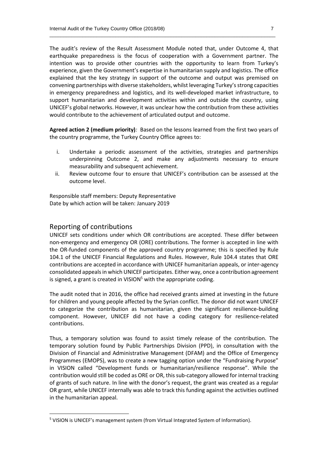The audit's review of the Result Assessment Module noted that, under Outcome 4, that earthquake preparedness is the focus of cooperation with a Government partner. The intention was to provide other countries with the opportunity to learn from Turkey's experience, given the Government's expertise in humanitarian supply and logistics. The office explained that the key strategy in support of the outcome and output was premised on convening partnerships with diverse stakeholders, whilst leveraging Turkey's strong capacities in emergency preparedness and logistics, and its well-developed market infrastructure, to support humanitarian and development activities within and outside the country, using UNICEF's global networks. However, it was unclear how the contribution from these activities would contribute to the achievement of articulated output and outcome.

 $\_$  , and the set of the set of the set of the set of the set of the set of the set of the set of the set of the set of the set of the set of the set of the set of the set of the set of the set of the set of the set of th

**Agreed action 2 (medium priority)***:* Based on the lessons learned from the first two years of the country programme, the Turkey Country Office agrees to:

- i. Undertake a periodic assessment of the activities, strategies and partnerships underpinning Outcome 2, and make any adjustments necessary to ensure measurability and subsequent achievement.
- ii. Review outcome four to ensure that UNICEF's contribution can be assessed at the outcome level.

Responsible staff members: Deputy Representative Date by which action will be taken: January 2019

#### Reporting of contributions

**.** 

UNICEF sets conditions under which OR contributions are accepted. These differ between non-emergency and emergency OR (ORE) contributions. The former is accepted in line with the OR-funded components of the approved country programme; this is specified by Rule 104.1 of the UNICEF Financial Regulations and Rules. However, Rule 104.4 states that ORE contributions are accepted in accordance with UNICEF humanitarian appeals, or inter-agency consolidated appeals in which UNICEF participates. Either way, once a contribution agreement is signed, a grant is created in VISION<sup>5</sup> with the appropriate coding.

The audit noted that in 2016, the office had received grants aimed at investing in the future for children and young people affected by the Syrian conflict. The donor did not want UNICEF to categorize the contribution as humanitarian, given the significant resilience-building component. However, UNICEF did not have a coding category for resilience-related contributions.

Thus, a temporary solution was found to assist timely release of the contribution. The temporary solution found by Public Partnerships Division (PPD), in consultation with the Division of Financial and Administrative Management (DFAM) and the Office of Emergency Programmes (EMOPS), was to create a new tagging option under the "Fundraising Purpose" in VISION called "Development funds or humanitarian/resilience response". While the contribution would still be coded as ORE or OR, this sub-category allowed for internal tracking of grants of such nature. In line with the donor's request, the grant was created as a regular OR grant, while UNICEF internally was able to track this funding against the activities outlined in the humanitarian appeal.

<sup>5</sup> VISION is UNICEF's management system (from Virtual Integrated System of Information).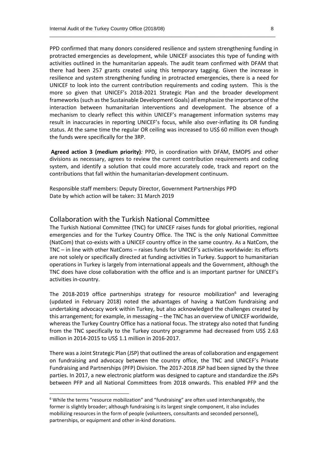PPD confirmed that many donors considered resilience and system strengthening funding in protracted emergencies as development, while UNICEF associates this type of funding with activities outlined in the humanitarian appeals. The audit team confirmed with DFAM that there had been 257 grants created using this temporary tagging. Given the increase in resilience and system strengthening funding in protracted emergencies, there is a need for UNICEF to look into the current contribution requirements and coding system. This is the more so given that UNICEF's 2018-2021 Strategic Plan and the broader development frameworks(such as the Sustainable Development Goals) all emphasize the importance of the interaction between humanitarian interventions and development. The absence of a mechanism to clearly reflect this within UNICEF's management information systems may result in inaccuracies in reporting UNICEF's focus, while also over-inflating its OR funding status. At the same time the regular OR ceiling was increased to US\$ 60 million even though the funds were specifically for the 3RP.

 $\_$  , and the set of the set of the set of the set of the set of the set of the set of the set of the set of the set of the set of the set of the set of the set of the set of the set of the set of the set of the set of th

**Agreed action 3 (medium priority)***:* PPD, in coordination with DFAM, EMOPS and other divisions as necessary, agrees to review the current contribution requirements and coding system, and identify a solution that could more accurately code, track and report on the contributions that fall within the humanitarian-development continuum.

Responsible staff members: Deputy Director, Government Partnerships PPD Date by which action will be taken: 31 March 2019

#### Collaboration with the Turkish National Committee

The Turkish National Committee (TNC) for UNICEF raises funds for global priorities, regional emergencies and for the Turkey Country Office. The TNC is the only National Committee (NatCom) that co-exists with a UNICEF country office in the same country. As a NatCom, the TNC – in line with other NatComs – raises funds for UNICEF's activities worldwide: its efforts are not solely or specifically directed at funding activities in Turkey. Support to humanitarian operations in Turkey is largely from international appeals and the Government, although the TNC does have close collaboration with the office and is an important partner for UNICEF's activities in-country.

The 2018-2019 office partnerships strategy for resource mobilization<sup>6</sup> and leveraging (updated in February 2018) noted the advantages of having a NatCom fundraising and undertaking advocacy work within Turkey, but also acknowledged the challenges created by this arrangement; for example, in messaging – the TNC has an overview of UNICEF worldwide, whereas the Turkey Country Office has a national focus. The strategy also noted that funding from the TNC specifically to the Turkey country programme had decreased from US\$ 2.63 million in 2014-2015 to US\$ 1.1 million in 2016-2017.

There was a Joint Strategic Plan (JSP) that outlined the areas of collaboration and engagement on fundraising and advocacy between the country office, the TNC and UNICEF's Private Fundraising and Partnerships (PFP) Division. The 2017-2018 JSP had been signed by the three parties. In 2017, a new electronic platform was designed to capture and standardize the JSPs between PFP and all National Committees from 2018 onwards. This enabled PFP and the

1

 $6$  While the terms "resource mobilization" and "fundraising" are often used interchangeably, the former is slightly broader; although fundraising is its largest single component, it also includes mobilizing resources in the form of people (volunteers, consultants and seconded personnel), partnerships, or equipment and other in-kind donations.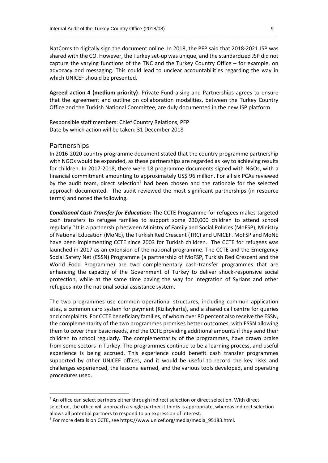NatComs to digitally sign the document online. In 2018, the PFP said that 2018-2021 JSP was shared with the CO. However, the Turkey set-up was unique, and the standardized JSP did not capture the varying functions of the TNC and the Turkey Country Office – for example, on advocacy and messaging. This could lead to unclear accountabilities regarding the way in which UNICEF should be presented.

 $\_$  , and the set of the set of the set of the set of the set of the set of the set of the set of the set of the set of the set of the set of the set of the set of the set of the set of the set of the set of the set of th

**Agreed action 4 (medium priority)**: Private Fundraising and Partnerships agrees to ensure that the agreement and outline on collaboration modalities, between the Turkey Country Office and the Turkish National Committee, are duly documented in the new JSP platform.

Responsible staff members: Chief Country Relations, PFP Date by which action will be taken: 31 December 2018

#### Partnerships

1

In 2016-2020 country programme document stated that the country programme partnership with NGOs would be expanded, as these partnerships are regarded as key to achieving results for children. In 2017-2018, there were 18 programme documents signed with NGOs, with a financial commitment amounting to approximately US\$ 96 million. For all six PCAs reviewed by the audit team, direct selection<sup>7</sup> had been chosen and the rationale for the selected approach documented. The audit reviewed the most significant partnerships (in resource terms) and noted the following.

*Conditional Cash Transfer for Education:* The CCTE Programme for refugees makes targeted cash transfers to refugee families to support some 230,000 children to attend school regularly.<sup>8</sup> It is a partnership between Ministry of Family and Social Policies (MoFSP), Ministry of National Education (MoNE), the Turkish Red Crescent (TRC) and UNICEF. MoFSP and MoNE have been implementing CCTE since 2003 for Turkish children. The CCTE for refugees was launched in 2017 as an extension of the national programme. The CCTE and the Emergency Social Safety Net (ESSN) Programme (a partnership of MoFSP, Turkish Red Crescent and the World Food Programme) are two complementary cash-transfer programmes that are enhancing the capacity of the Government of Turkey to deliver shock-responsive social protection, while at the same time paving the way for integration of Syrians and other refugees into the national social assistance system.

The two programmes use common operational structures, including common application sites, a common card system for payment (Kizilaykarts), and a shared call centre for queries and complaints. For CCTE beneficiary families, of whom over 80 percent also receive the ESSN, the complementarity of the two programmes promises better outcomes, with ESSN allowing them to cover their basic needs, and the CCTE providing additional amounts if they send their children to school regularly**.** The complementarity of the programmes, have drawn praise from some sectors in Turkey. The programmes continue to be a learning process, and useful experience is being accrued. This experience could benefit cash transfer programmes supported by other UNICEF offices, and it would be useful to record the key risks and challenges experienced, the lessons learned, and the various tools developed, and operating procedures used.

 $7$  An office can select partners either through indirect selection or direct selection. With direct selection, the office will approach a single partner it thinks is appropriate, whereas indirect selection allows all potential partners to respond to an expression of interest.

<sup>8</sup> For more details on CCTE, see https://www.unicef.org/media/media\_95183.html.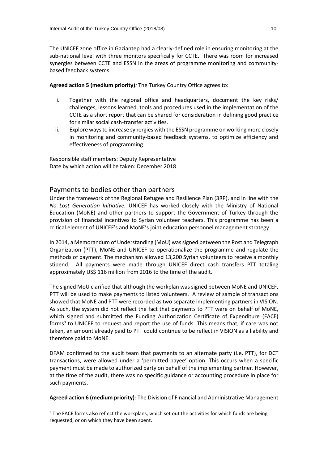The UNICEF zone office in Gaziantep had a clearly-defined role in ensuring monitoring at the sub-national level with three monitors specifically for CCTE. There was room for increased synergies between CCTE and ESSN in the areas of programme monitoring and communitybased feedback systems.

 $\_$  , and the set of the set of the set of the set of the set of the set of the set of the set of the set of the set of the set of the set of the set of the set of the set of the set of the set of the set of the set of th

**Agreed action 5 (medium priority)***:* The Turkey Country Office agrees to:

- i. Together with the regional office and headquarters, document the key risks/ challenges, lessons learned, tools and procedures used in the implementation of the CCTE as a short report that can be shared for consideration in defining good practice for similar social cash-transfer activities.
- ii. Explore ways to increase synergies with the ESSN programme on working more closely in monitoring and community-based feedback systems, to optimize efficiency and effectiveness of programming.

Responsible staff members: Deputy Representative Date by which action will be taken: December 2018

#### Payments to bodies other than partners

1

Under the framework of the Regional Refugee and Resilience Plan (3RP), and in line with the *No Lost Generation Initiative*, UNICEF has worked closely with the Ministry of National Education (MoNE) and other partners to support the Government of Turkey through the provision of financial incentives to Syrian volunteer teachers. This programme has been a critical element of UNICEF's and MoNE's joint education personnel management strategy.

In 2014, a Memorandum of Understanding (MoU) was signed between the Post and Telegraph Organization (PTT), MoNE and UNICEF to operationalize the programme and regulate the methods of payment. The mechanism allowed 13,200 Syrian volunteers to receive a monthly stipend. All payments were made through UNICEF direct cash transfers PTT totaling approximately US\$ 116 million from 2016 to the time of the audit.

The signed MoU clarified that although the workplan was signed between MoNE and UNICEF, PTT will be used to make payments to listed volunteers. A review of sample of transactions showed that MoNE and PTT were recorded as two separate implementing partners in VISION. As such, the system did not reflect the fact that payments to PTT were on behalf of MoNE, which signed and submitted the Funding Authorization Certificate of Expenditure (FACE) forms<sup>9</sup> to UNICEF to request and report the use of funds. This means that, if care was not taken, an amount already paid to PTT could continue to be reflect in VISION as a liability and therefore paid to MoNE.

DFAM confirmed to the audit team that payments to an alternate party (i.e. PTT), for DCT transactions, were allowed under a 'permitted payee' option. This occurs when a specific payment must be made to authorized party on behalf of the implementing partner. However, at the time of the audit, there was no specific guidance or accounting procedure in place for such payments.

**Agreed action 6 (medium priority)***:* The Division of Financial and Administrative Management

<sup>&</sup>lt;sup>9</sup> The FACE forms also reflect the workplans, which set out the activities for which funds are being requested, or on which they have been spent.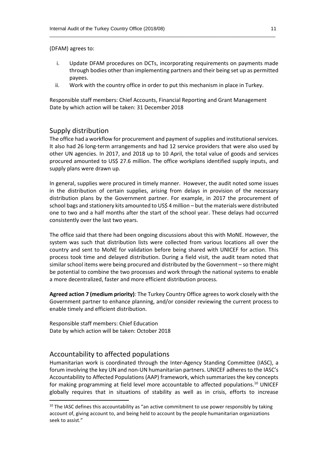(DFAM) agrees to:

i. Update DFAM procedures on DCTs, incorporating requirements on payments made through bodies other than implementing partners and their being set up as permitted payees.

 $\_$  , and the set of the set of the set of the set of the set of the set of the set of the set of the set of the set of the set of the set of the set of the set of the set of the set of the set of the set of the set of th

ii. Work with the country office in order to put this mechanism in place in Turkey.

Responsible staff members: Chief Accounts, Financial Reporting and Grant Management Date by which action will be taken: 31 December 2018

#### Supply distribution

The office had a workflow for procurement and payment of supplies and institutional services. It also had 26 long-term arrangements and had 12 service providers that were also used by other UN agencies. In 2017, and 2018 up to 10 April, the total value of goods and services procured amounted to US\$ 27.6 million. The office workplans identified supply inputs, and supply plans were drawn up.

In general, supplies were procured in timely manner. However, the audit noted some issues in the distribution of certain supplies, arising from delays in provision of the necessary distribution plans by the Government partner. For example, in 2017 the procurement of school bags and stationery kits amounted to US\$ 4 million – but the materials were distributed one to two and a half months after the start of the school year. These delays had occurred consistently over the last two years.

The office said that there had been ongoing discussions about this with MoNE. However, the system was such that distribution lists were collected from various locations all over the country and sent to MoNE for validation before being shared with UNICEF for action. This process took time and delayed distribution. During a field visit, the audit team noted that similar school items were being procured and distributed by the Government – so there might be potential to combine the two processes and work through the national systems to enable a more decentralized, faster and more efficient distribution process.

**Agreed action 7 (medium priority)***:* The Turkey Country Office agrees to work closely with the Government partner to enhance planning, and/or consider reviewing the current process to enable timely and efficient distribution.

Responsible staff members: Chief Education Date by which action will be taken: October 2018

#### Accountability to affected populations

**.** 

Humanitarian work is coordinated through the Inter-Agency Standing Committee (IASC), a forum involving the key UN and non-UN humanitarian partners. UNICEF adheres to the IASC's Accountability to Affected Populations (AAP) framework, which summarizes the key concepts for making programming at field level more accountable to affected populations.<sup>10</sup> UNICEF globally requires that in situations of stability as well as in crisis, efforts to increase

 $10$  The IASC defines this accountability as "an active commitment to use power responsibly by taking account of, giving account to, and being held to account by the people humanitarian organizations seek to assist."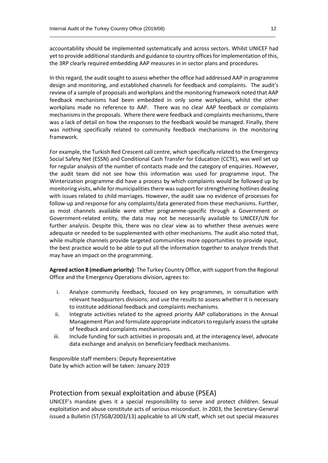accountability should be implemented systematically and across sectors. Whilst UNICEF had yet to provide additional standards and guidance to country offices for implementation of this, the 3RP clearly required embedding AAP measures in in sector plans and procedures.

 $\_$  , and the set of the set of the set of the set of the set of the set of the set of the set of the set of the set of the set of the set of the set of the set of the set of the set of the set of the set of the set of th

In this regard, the audit sought to assess whether the office had addressed AAP in programme design and monitoring, and established channels for feedback and complaints. The audit's review of a sample of proposals and workplans and the monitoring framework noted that AAP feedback mechanisms had been embedded in only some workplans, whilst the other workplans made no reference to AAP. There was no clear AAP feedback or complaints mechanisms in the proposals. Where there were feedback and complaints mechanisms, there was a lack of detail on how the responses to the feedback would be managed. Finally, there was nothing specifically related to community feedback mechanisms in the monitoring framework.

For example, the Turkish Red Crescent call centre, which specifically related to the Emergency Social Safety Net (ESSN) and Conditional Cash Transfer for Education (CCTE), was well set up for regular analysis of the number of contacts made and the category of enquiries. However, the audit team did not see how this information was used for programme input. The Winterization programme did have a process by which complaints would be followed up by monitoring visits, while for municipalities there was support for strengthening hotlines dealing with issues related to child marriages. However, the audit saw no evidence of processes for follow-up and response for any complaints/data generated from these mechanisms. Further, as most channels available were either programme-specific through a Government or Government-related entity, the data may not be necessarily available to UNICEF/UN for further analysis. Despite this, there was no clear view as to whether these avenues were adequate or needed to be supplemented with other mechanisms. The audit also noted that, while multiple channels provide targeted communities more opportunities to provide input, the best practice would to be able to put all the information together to analyze trends that may have an impact on the programming.

**Agreed action 8 (medium priority)***:* The Turkey Country Office, with support from the Regional Office and the Emergency Operations division, agrees to:

- i. Analyze community feedback, focused on key programmes, in consultation with relevant headquarters divisions; and use the results to assess whether it is necessary to institute additional feedback and complaints mechanisms.
- ii. Integrate activities related to the agreed priority AAP collaborations in the Annual Management Plan and formulate appropriate indicators to regularly assess the uptake of feedback and complaints mechanisms.
- iii. Include funding for such activities in proposals and, at the interagency level, advocate data exchange and analysis on beneficiary feedback mechanisms.

Responsible staff members: Deputy Representative Date by which action will be taken: January 2019

#### Protection from sexual exploitation and abuse (PSEA)

UNICEF's mandate gives it a special responsibility to serve and protect children. Sexual exploitation and abuse constitute acts of serious misconduct. In 2003, the Secretary-General issued a Bulletin (ST/SGB/2003/13) applicable to all UN staff, which set out special measures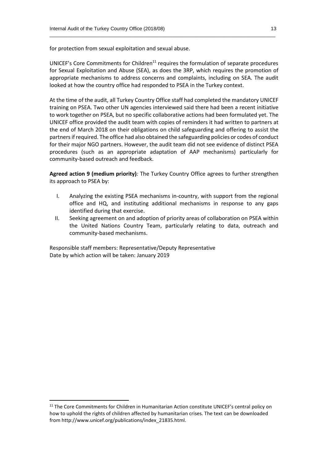for protection from sexual exploitation and sexual abuse.

UNICEF's Core Commitments for Children<sup>11</sup> requires the formulation of separate procedures for Sexual Exploitation and Abuse (SEA), as does the 3RP, which requires the promotion of appropriate mechanisms to address concerns and complaints, including on SEA. The audit looked at how the country office had responded to PSEA in the Turkey context.

 $\_$  , and the set of the set of the set of the set of the set of the set of the set of the set of the set of the set of the set of the set of the set of the set of the set of the set of the set of the set of the set of th

At the time of the audit, all Turkey Country Office staff had completed the mandatory UNICEF training on PSEA. Two other UN agencies interviewed said there had been a recent initiative to work together on PSEA, but no specific collaborative actions had been formulated yet. The UNICEF office provided the audit team with copies of reminders it had written to partners at the end of March 2018 on their obligations on child safeguarding and offering to assist the partnersif required. The office had also obtained the safeguarding policies or codes of conduct for their major NGO partners. However, the audit team did not see evidence of distinct PSEA procedures (such as an appropriate adaptation of AAP mechanisms) particularly for community-based outreach and feedback.

**Agreed action 9 (medium priority)***:* The Turkey Country Office agrees to further strengthen its approach to PSEA by:

- I. Analyzing the existing PSEA mechanisms in-country, with support from the regional office and HQ, and instituting additional mechanisms in response to any gaps identified during that exercise.
- II. Seeking agreement on and adoption of priority areas of collaboration on PSEA within the United Nations Country Team, particularly relating to data, outreach and community-based mechanisms.

Responsible staff members: Representative/Deputy Representative Date by which action will be taken: January 2019

**.** 

<sup>&</sup>lt;sup>11</sup> The Core Commitments for Children in Humanitarian Action constitute UNICEF's central policy on how to uphold the rights of children affected by humanitarian crises. The text can be downloaded from http://www.unicef.org/publications/index\_21835.html.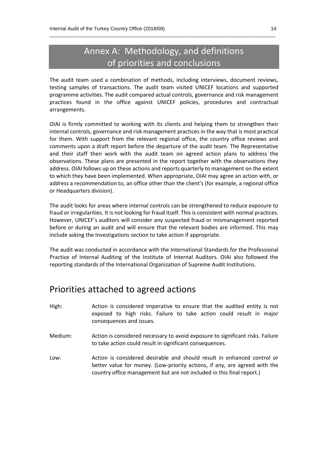### Annex A: Methodology, and definitions of priorities and conclusions

 $\_$  , and the set of the set of the set of the set of the set of the set of the set of the set of the set of the set of the set of the set of the set of the set of the set of the set of the set of the set of the set of th

The audit team used a combination of methods, including interviews, document reviews, testing samples of transactions. The audit team visited UNICEF locations and supported programme activities. The audit compared actual controls, governance and risk management practices found in the office against UNICEF policies, procedures and contractual arrangements.

OIAI is firmly committed to working with its clients and helping them to strengthen their internal controls, governance and risk management practices in the way that is most practical for them. With support from the relevant regional office, the country office reviews and comments upon a draft report before the departure of the audit team. The Representative and their staff then work with the audit team on agreed action plans to address the observations. These plans are presented in the report together with the observations they address. OIAI follows up on these actions and reports quarterly to management on the extent to which they have been implemented. When appropriate, OIAI may agree an action with, or address a recommendation to, an office other than the client's (for example, a regional office or Headquarters division).

The audit looks for areas where internal controls can be strengthened to reduce exposure to fraud or irregularities. It is not looking for fraud itself. This is consistent with normal practices. However, UNICEF's auditors will consider any suspected fraud or mismanagement reported before or during an audit and will ensure that the relevant bodies are informed. This may include asking the Investigations section to take action if appropriate.

The audit was conducted in accordance with the International Standards for the Professional Practice of Internal Auditing of the Institute of Internal Auditors. OIAI also followed the reporting standards of the International Organization of Supreme Audit Institutions.

### Priorities attached to agreed actions

- High: Action is considered imperative to ensure that the audited entity is not exposed to high risks. Failure to take action could result in major consequences and issues.
- Medium: Action is considered necessary to avoid exposure to significant risks. Failure to take action could result in significant consequences.
- Low: Action is considered desirable and should result in enhanced control or better value for money. (Low-priority actions, if any, are agreed with the country office management but are not included in this final report.)